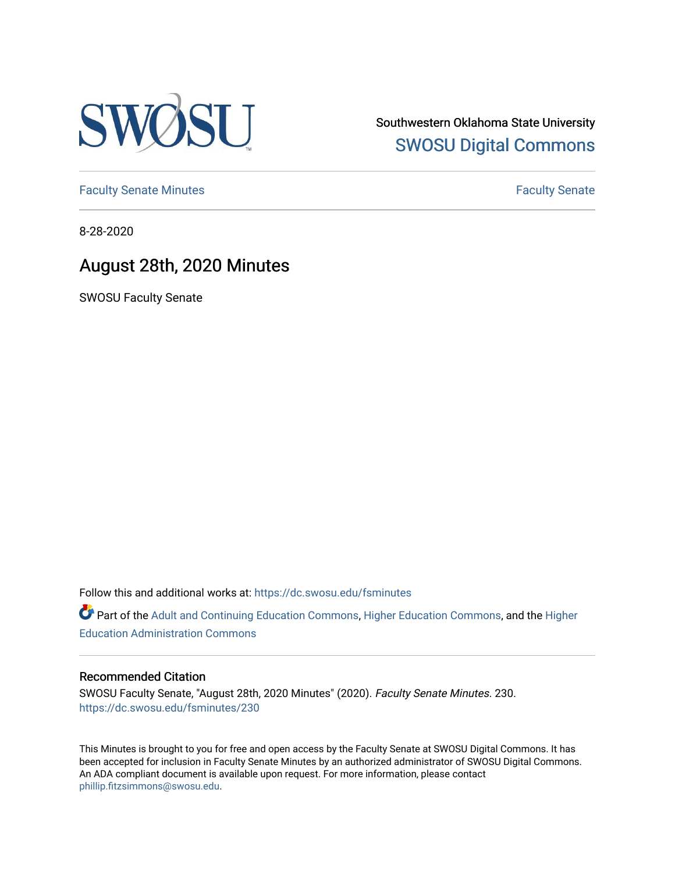

Southwestern Oklahoma State University [SWOSU Digital Commons](https://dc.swosu.edu/) 

[Faculty Senate Minutes](https://dc.swosu.edu/fsminutes) **Faculty** Senate Minutes

8-28-2020

## August 28th, 2020 Minutes

SWOSU Faculty Senate

Follow this and additional works at: [https://dc.swosu.edu/fsminutes](https://dc.swosu.edu/fsminutes?utm_source=dc.swosu.edu%2Ffsminutes%2F230&utm_medium=PDF&utm_campaign=PDFCoverPages) 

Part of the [Adult and Continuing Education Commons,](http://network.bepress.com/hgg/discipline/1375?utm_source=dc.swosu.edu%2Ffsminutes%2F230&utm_medium=PDF&utm_campaign=PDFCoverPages) [Higher Education Commons,](http://network.bepress.com/hgg/discipline/1245?utm_source=dc.swosu.edu%2Ffsminutes%2F230&utm_medium=PDF&utm_campaign=PDFCoverPages) and the [Higher](http://network.bepress.com/hgg/discipline/791?utm_source=dc.swosu.edu%2Ffsminutes%2F230&utm_medium=PDF&utm_campaign=PDFCoverPages) [Education Administration Commons](http://network.bepress.com/hgg/discipline/791?utm_source=dc.swosu.edu%2Ffsminutes%2F230&utm_medium=PDF&utm_campaign=PDFCoverPages) 

#### Recommended Citation

SWOSU Faculty Senate, "August 28th, 2020 Minutes" (2020). Faculty Senate Minutes. 230. [https://dc.swosu.edu/fsminutes/230](https://dc.swosu.edu/fsminutes/230?utm_source=dc.swosu.edu%2Ffsminutes%2F230&utm_medium=PDF&utm_campaign=PDFCoverPages) 

This Minutes is brought to you for free and open access by the Faculty Senate at SWOSU Digital Commons. It has been accepted for inclusion in Faculty Senate Minutes by an authorized administrator of SWOSU Digital Commons. An ADA compliant document is available upon request. For more information, please contact [phillip.fitzsimmons@swosu.edu](mailto:phillip.fitzsimmons@swosu.edu).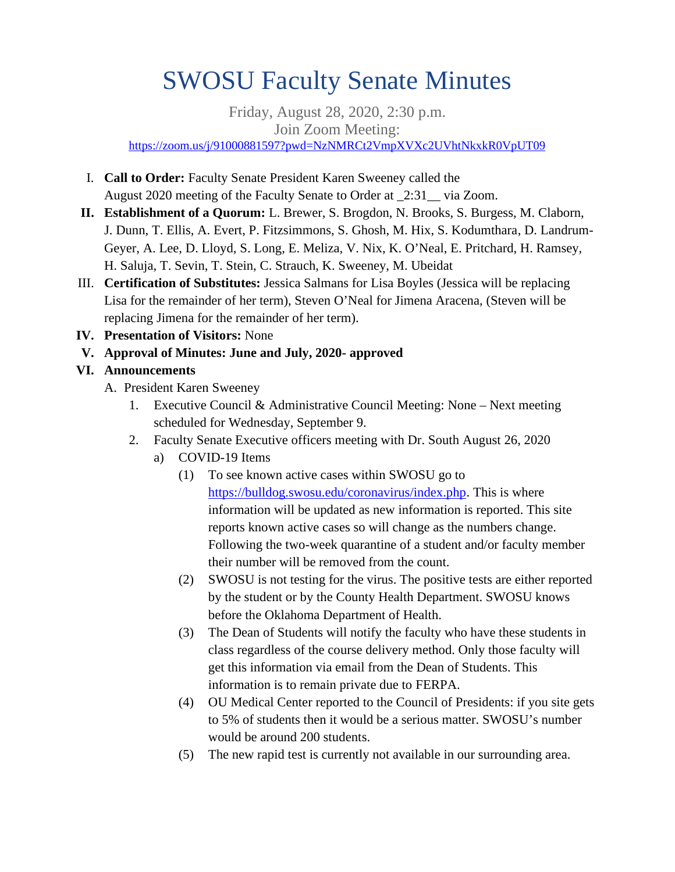# SWOSU Faculty Senate Minutes

Friday, August 28, 2020, 2:30 p.m. Join Zoom Meeting: https://zoom.us/j/91000881597?pwd=NzNMRCt2VmpXVXc2UVhtNkxkR0VpUT09

- I. **Call to Order:** Faculty Senate President Karen Sweeney called the August 2020 meeting of the Faculty Senate to Order at \_2:31\_\_ via Zoom.
- **II. Establishment of a Quorum:** L. Brewer, S. Brogdon, N. Brooks, S. Burgess, M. Claborn, J. Dunn, T. Ellis, A. Evert, P. Fitzsimmons, S. Ghosh, M. Hix, S. Kodumthara, D. Landrum- Geyer, A. Lee, D. Lloyd, S. Long, E. Meliza, V. Nix, K. O'Neal, E. Pritchard, H. Ramsey, H. Saluja, T. Sevin, T. Stein, C. Strauch, K. Sweeney, M. Ubeidat
- III. **Certification of Substitutes:** Jessica Salmans for Lisa Boyles (Jessica will be replacing Lisa for the remainder of her term), Steven O'Neal for Jimena Aracena, (Steven will be replacing Jimena for the remainder of her term).
- **IV. Presentation of Visitors:** None
- **V. Approval of Minutes: June and July, 2020- approved**

### **VI. Announcements**

- A. President Karen Sweeney
	- 1. Executive Council & Administrative Council Meeting: None Next meeting scheduled for Wednesday, September 9.
	- 2. Faculty Senate Executive officers meeting with Dr. South August 26, 2020
		- a) COVID-19 Items
			- (1) To see known active cases within SWOSU go to https://bulldog.swosu.edu/coronavirus/index.php. This is where information will be updated as new information is reported. This site reports known active cases so will change as the numbers change. Following the two-week quarantine of a student and/or faculty member their number will be removed from the count.
			- (2) SWOSU is not testing for the virus. The positive tests are either reported by the student or by the County Health Department. SWOSU knows before the Oklahoma Department of Health.
			- (3) The Dean of Students will notify the faculty who have these students in class regardless of the course delivery method. Only those faculty will get this information via email from the Dean of Students. This information is to remain private due to FERPA.
			- (4) OU Medical Center reported to the Council of Presidents: if you site gets to 5% of students then it would be a serious matter. SWOSU's number would be around 200 students.
			- (5) The new rapid test is currently not available in our surrounding area.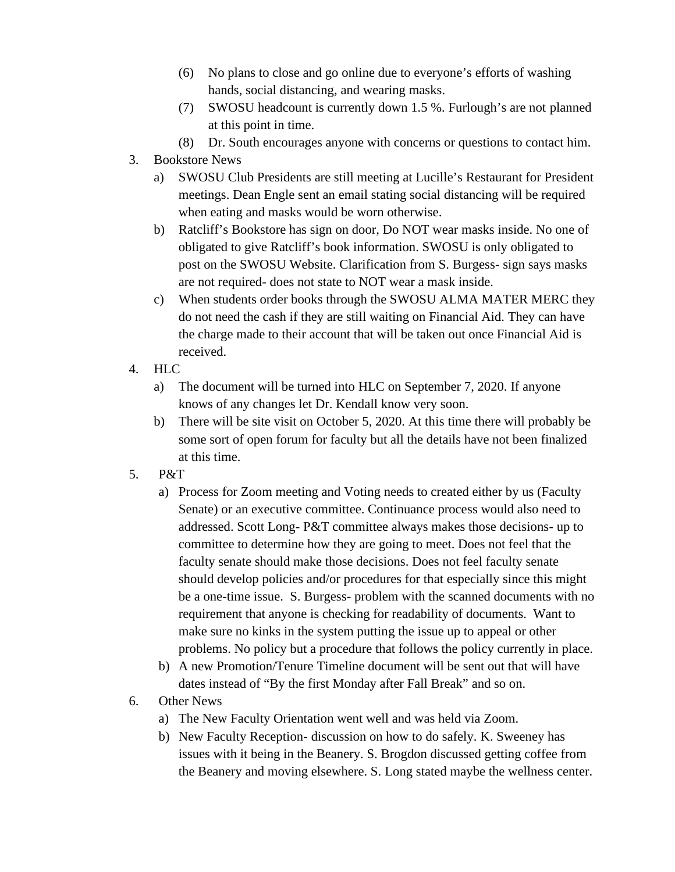- (6) No plans to close and go online due to everyone's efforts of washing hands, social distancing, and wearing masks.
- (7) SWOSU headcount is currently down 1.5 %. Furlough's are not planned at this point in time.
- (8) Dr. South encourages anyone with concerns or questions to contact him.
- 3. Bookstore News
	- a) SWOSU Club Presidents are still meeting at Lucille's Restaurant for President meetings. Dean Engle sent an email stating social distancing will be required when eating and masks would be worn otherwise.
	- b) Ratcliff's Bookstore has sign on door, Do NOT wear masks inside. No one of obligated to give Ratcliff's book information. SWOSU is only obligated to post on the SWOSU Website. Clarification from S. Burgess- sign says masks are not required- does not state to NOT wear a mask inside.
	- c) When students order books through the SWOSU ALMA MATER MERC they do not need the cash if they are still waiting on Financial Aid. They can have the charge made to their account that will be taken out once Financial Aid is received.
- 4. HLC
	- a) The document will be turned into HLC on September 7, 2020. If anyone knows of any changes let Dr. Kendall know very soon.
	- b) There will be site visit on October 5, 2020. At this time there will probably be some sort of open forum for faculty but all the details have not been finalized at this time.
- 5. P&T
	- a) Process for Zoom meeting and Voting needs to created either by us (Faculty Senate) or an executive committee. Continuance process would also need to addressed. Scott Long- P&T committee always makes those decisions- up to committee to determine how they are going to meet. Does not feel that the faculty senate should make those decisions. Does not feel faculty senate should develop policies and/or procedures for that especially since this might be a one-time issue. S. Burgess- problem with the scanned documents with no requirement that anyone is checking for readability of documents. Want to make sure no kinks in the system putting the issue up to appeal or other problems. No policy but a procedure that follows the policy currently in place.
	- b) A new Promotion/Tenure Timeline document will be sent out that will have dates instead of "By the first Monday after Fall Break" and so on.
- 6. Other News
	- a) The New Faculty Orientation went well and was held via Zoom.
	- b) New Faculty Reception- discussion on how to do safely. K. Sweeney has issues with it being in the Beanery. S. Brogdon discussed getting coffee from the Beanery and moving elsewhere. S. Long stated maybe the wellness center.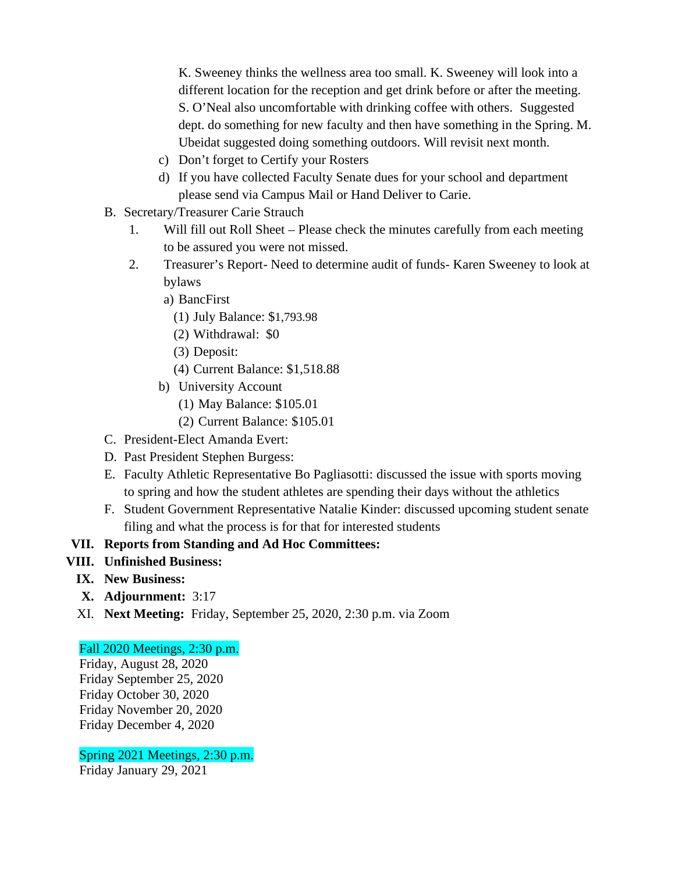K. Sweeney thinks the wellness area too small. K. Sweeney will look into a different location for the reception and get drink before or after the meeting. S. O'Neal also uncomfortable with drinking coffee with others. Suggested dept. do something for new faculty and then have something in the Spring. M. Ubeidat suggested doing something outdoors. Will revisit next month.

- c) Don't forget to Certify your Rosters
- d) If you have collected Faculty Senate dues for your school and department please send via Campus Mail or Hand Deliver to Carie.
- B. Secretary/Treasurer Carie Strauch
	- 1. Will fill out Roll Sheet Please check the minutes carefully from each meeting to be assured you were not missed.
	- 2. Treasurer's Report- Need to determine audit of funds- Karen Sweeney to look at bylaws
		- a) BancFirst
			- (1) July Balance: \$1,793.98
			- (2) Withdrawal: \$0
			- (3) Deposit:
			- (4) Current Balance: \$1,518.88
		- b) University Account
			- (1) May Balance: \$105.01
			- (2) Current Balance: \$105.01
- C. President-Elect Amanda Evert:
- D. Past President Stephen Burgess:
- E. Faculty Athletic Representative Bo Pagliasotti: discussed the issue with sports moving to spring and how the student athletes are spending their days without the athletics
- F. Student Government Representative Natalie Kinder: discussed upcoming student senate filing and what the process is for that for interested students

#### **VII. Reports from Standing and Ad Hoc Committees:**

- **VIII. Unfinished Business:**
	- **IX. New Business:**
	- **X. Adjournment:** 3:17
	- XI. **Next Meeting:** Friday, September 25, 2020, 2:30 p.m. via Zoom

#### Fall 2020 Meetings, 2:30 p.m.

Friday, August 28, 2020 Friday September 25, 2020 Friday October 30, 2020 Friday November 20, 2020 Friday December 4, 2020

Spring 2021 Meetings, 2:30 p.m. Friday January 29, 2021